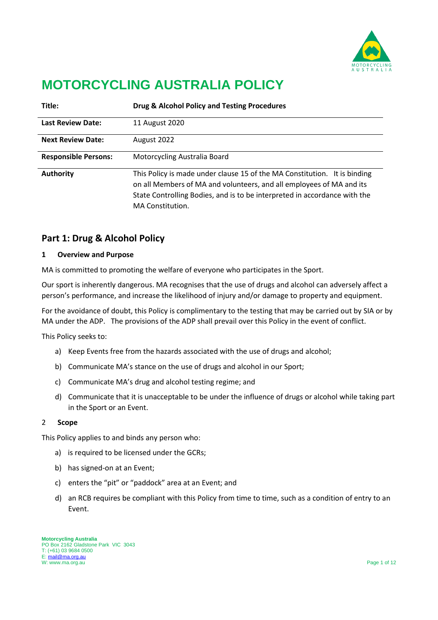

# **MOTORCYCLING AUSTRALIA POLICY**

| Title:                      | Drug & Alcohol Policy and Testing Procedures                                                                                                                                                                                                       |
|-----------------------------|----------------------------------------------------------------------------------------------------------------------------------------------------------------------------------------------------------------------------------------------------|
| <b>Last Review Date:</b>    | 11 August 2020                                                                                                                                                                                                                                     |
| <b>Next Review Date:</b>    | August 2022                                                                                                                                                                                                                                        |
| <b>Responsible Persons:</b> | Motorcycling Australia Board                                                                                                                                                                                                                       |
| <b>Authority</b>            | This Policy is made under clause 15 of the MA Constitution. It is binding<br>on all Members of MA and volunteers, and all employees of MA and its<br>State Controlling Bodies, and is to be interpreted in accordance with the<br>MA Constitution. |

# **Part 1: Drug & Alcohol Policy**

#### **1 Overview and Purpose**

MA is committed to promoting the welfare of everyone who participates in the Sport.

Our sport is inherently dangerous. MA recognises that the use of drugs and alcohol can adversely affect a person's performance, and increase the likelihood of injury and/or damage to property and equipment.

For the avoidance of doubt, this Policy is complimentary to the testing that may be carried out by SIA or by MA under the ADP. The provisions of the ADP shall prevail over this Policy in the event of conflict.

This Policy seeks to:

- a) Keep Events free from the hazards associated with the use of drugs and alcohol;
- b) Communicate MA's stance on the use of drugs and alcohol in our Sport;
- c) Communicate MA's drug and alcohol testing regime; and
- d) Communicate that it is unacceptable to be under the influence of drugs or alcohol while taking part in the Sport or an Event.

#### 2 **Scope**

This Policy applies to and binds any person who:

- a) is required to be licensed under the GCRs;
- b) has signed-on at an Event;
- c) enters the "pit" or "paddock" area at an Event; and
- d) an RCB requires be compliant with this Policy from time to time, such as a condition of entry to an Event.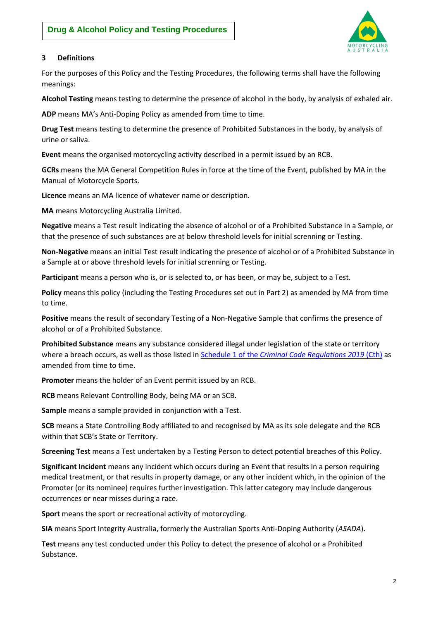

# **3 Definitions**

For the purposes of this Policy and the Testing Procedures, the following terms shall have the following meanings:

**Alcohol Testing** means testing to determine the presence of alcohol in the body, by analysis of exhaled air.

**ADP** means MA's Anti-Doping Policy as amended from time to time.

**Drug Test** means testing to determine the presence of Prohibited Substances in the body, by analysis of urine or saliva.

**Event** means the organised motorcycling activity described in a permit issued by an RCB.

**GCRs** means the MA General Competition Rules in force at the time of the Event, published by MA in the Manual of Motorcycle Sports.

**Licence** means an MA licence of whatever name or description.

**MA** means Motorcycling Australia Limited.

**Negative** means a Test result indicating the absence of alcohol or of a Prohibited Substance in a Sample, or that the presence of such substances are at below threshold levels for initial screnning or Testing.

**Non-Negative** means an initial Test result indicating the presence of alcohol or of a Prohibited Substance in a Sample at or above threshold levels for initial screnning or Testing.

**Participant** means a person who is, or is selected to, or has been, or may be, subject to a Test.

**Policy** means this policy (including the Testing Procedures set out in Part 2) as amended by MA from time to time.

**Positive** means the result of secondary Testing of a Non-Negative Sample that confirms the presence of alcohol or of a Prohibited Substance.

**Prohibited Substance** means any substance considered illegal under legislation of the state or territory where a breach occurs, as well as those listed in Schedule 1 of the *[Criminal Code Regulations 2019](https://www.legislation.gov.au/Details/F2019L00561)* (Cth) as amended from time to time.

**Promoter** means the holder of an Event permit issued by an RCB.

**RCB** means Relevant Controlling Body, being MA or an SCB.

**Sample** means a sample provided in conjunction with a Test.

**SCB** means a State Controlling Body affiliated to and recognised by MA as its sole delegate and the RCB within that SCB's State or Territory.

**Screening Test** means a Test undertaken by a Testing Person to detect potential breaches of this Policy.

**Significant Incident** means any incident which occurs during an Event that results in a person requiring medical treatment, or that results in property damage, or any other incident which, in the opinion of the Promoter (or its nominee) requires further investigation. This latter category may include dangerous occurrences or near misses during a race.

**Sport** means the sport or recreational activity of motorcycling.

**SIA** means Sport Integrity Australia, formerly the Australian Sports Anti-Doping Authority (*ASADA*).

**Test** means any test conducted under this Policy to detect the presence of alcohol or a Prohibited Substance.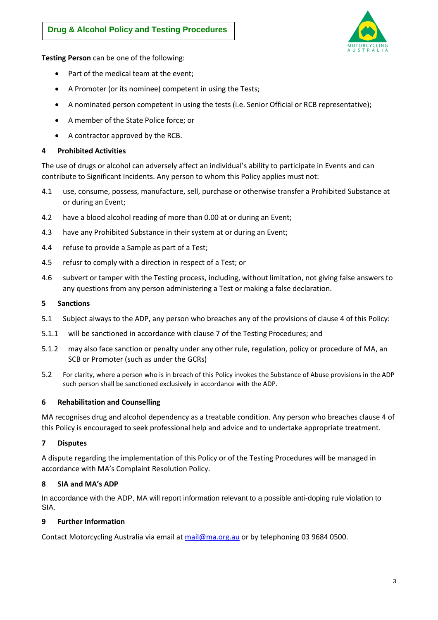

**Testing Person** can be one of the following:

- Part of the medical team at the event;
- A Promoter (or its nominee) competent in using the Tests;
- A nominated person competent in using the tests (i.e. Senior Official or RCB representative);
- A member of the State Police force; or
- A contractor approved by the RCB.

## <span id="page-2-0"></span>**4 Prohibited Activities**

The use of drugs or alcohol can adversely affect an individual's ability to participate in Events and can contribute to Significant Incidents. Any person to whom this Policy applies must not:

- 4.1 use, consume, possess, manufacture, sell, purchase or otherwise transfer a Prohibited Substance at or during an Event;
- 4.2 have a blood alcohol reading of more than 0.00 at or during an Event;
- 4.3 have any Prohibited Substance in their system at or during an Event;
- 4.4 refuse to provide a Sample as part of a Test;
- 4.5 refusr to comply with a direction in respect of a Test; or
- 4.6 subvert or tamper with the Testing process, including, without limitation, not giving false answers to any questions from any person administering a Test or making a false declaration.

#### **5 Sanctions**

- 5.1 Subject always to the ADP, any person who breaches any of the provisions of clause [4](#page-2-0) of this Policy:
- 5.1.1 will be sanctioned in accordance with clause [7](#page-8-0) of the Testing Procedures; and
- 5.1.2 may also face sanction or penalty under any other rule, regulation, policy or procedure of MA, an SCB or Promoter (such as under the GCRs)
- 5.2 For clarity, where a person who is in breach of this Policy invokes the Substance of Abuse provisions in the ADP such person shall be sanctioned exclusively in accordance with the ADP.

# **6 Rehabilitation and Counselling**

MA recognises drug and alcohol dependency as a treatable condition. Any person who breaches clause [4](#page-2-0) of this Policy is encouraged to seek professional help and advice and to undertake appropriate treatment.

# **7 Disputes**

A dispute regarding the implementation of this Policy or of the Testing Procedures will be managed in accordance with MA's Complaint Resolution Policy.

# **8 SIA and MA's ADP**

In accordance with the ADP, MA will report information relevant to a possible anti-doping rule violation to SIA.

# **9 Further Information**

Contact Motorcycling Australia via email at [mail@ma.org.au](mailto:mail@ma.org.au) or by telephoning 03 9684 0500.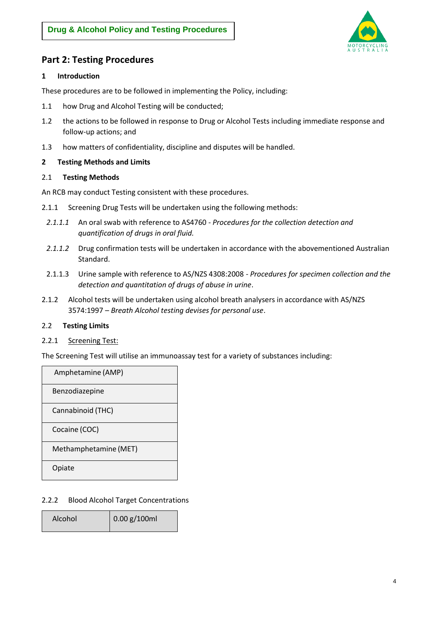

# **Part 2: Testing Procedures**

## **1 Introduction**

These procedures are to be followed in implementing the Policy, including:

- 1.1 how Drug and Alcohol Testing will be conducted;
- 1.2 the actions to be followed in response to Drug or Alcohol Tests including immediate response and follow-up actions; and
- 1.3 how matters of confidentiality, discipline and disputes will be handled.

## <span id="page-3-0"></span>**2 Testing Methods and Limits**

## 2.1 **Testing Methods**

An RCB may conduct Testing consistent with these procedures.

- 2.1.1 Screening Drug Tests will be undertaken using the following methods:
	- *2.1.1.1* An oral swab with reference to AS4760 *Procedures for the collection detection and quantification of drugs in oral fluid.*
	- *2.1.1.2* Drug confirmation tests will be undertaken in accordance with the abovementioned Australian Standard.
	- 2.1.1.3 Urine sample with reference to AS/NZS 4308:2008 *Procedures for specimen collection and the detection and quantitation of drugs of abuse in urine*.
- 2.1.2 Alcohol tests will be undertaken using alcohol breath analysers in accordance with AS/NZS 3574:1997 – *Breath Alcohol testing devises for personal use*.

# 2.2 **Testing Limits**

2.2.1 Screening Test:

The Screening Test will utilise an immunoassay test for a variety of substances including:

| Amphetamine (AMP)     |  |
|-----------------------|--|
| Benzodiazepine        |  |
| Cannabinoid (THC)     |  |
| Cocaine (COC)         |  |
| Methamphetamine (MET) |  |
| Opiate                |  |

2.2.2 Blood Alcohol Target Concentrations

| Alcohol | $\big  0.00$ g/100ml |
|---------|----------------------|
|         |                      |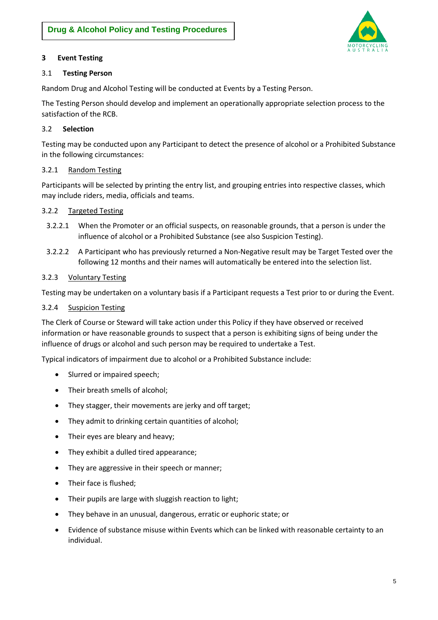

# **3 Event Testing**

# 3.1 **Testing Person**

Random Drug and Alcohol Testing will be conducted at Events by a Testing Person.

The Testing Person should develop and implement an operationally appropriate selection process to the satisfaction of the RCB.

# 3.2 **Selection**

Testing may be conducted upon any Participant to detect the presence of alcohol or a Prohibited Substance in the following circumstances:

## 3.2.1 Random Testing

Participants will be selected by printing the entry list, and grouping entries into respective classes, which may include riders, media, officials and teams.

## 3.2.2 Targeted Testing

- 3.2.2.1 When the Promoter or an official suspects, on reasonable grounds, that a person is under the influence of alcohol or a Prohibited Substance (see also Suspicion Testing).
- 3.2.2.2 A Participant who has previously returned a Non-Negative result may be Target Tested over the following 12 months and their names will automatically be entered into the selection list.

## 3.2.3 Voluntary Testing

Testing may be undertaken on a voluntary basis if a Participant requests a Test prior to or during the Event.

## 3.2.4 Suspicion Testing

The Clerk of Course or Steward will take action under this Policy if they have observed or received information or have reasonable grounds to suspect that a person is exhibiting signs of being under the influence of drugs or alcohol and such person may be required to undertake a Test.

Typical indicators of impairment due to alcohol or a Prohibited Substance include:

- Slurred or impaired speech;
- Their breath smells of alcohol;
- They stagger, their movements are jerky and off target;
- They admit to drinking certain quantities of alcohol;
- Their eyes are bleary and heavy;
- They exhibit a dulled tired appearance;
- They are aggressive in their speech or manner;
- Their face is flushed;
- Their pupils are large with sluggish reaction to light;
- They behave in an unusual, dangerous, erratic or euphoric state; or
- Evidence of substance misuse within Events which can be linked with reasonable certainty to an individual.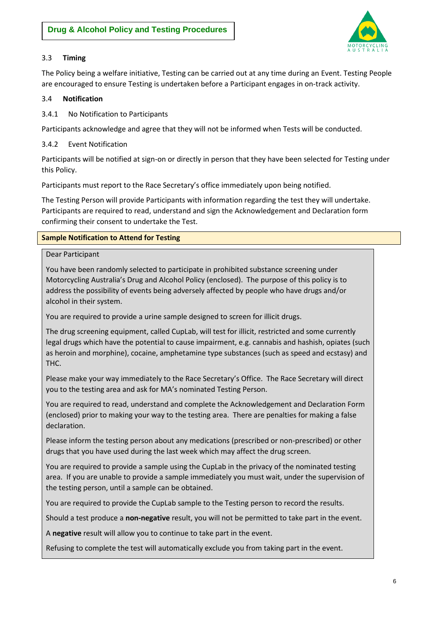

# 3.3 **Timing**

The Policy being a welfare initiative, Testing can be carried out at any time during an Event. Testing People are encouraged to ensure Testing is undertaken before a Participant engages in on-track activity.

# 3.4 **Notification**

3.4.1 No Notification to Participants

Participants acknowledge and agree that they will not be informed when Tests will be conducted.

# 3.4.2 Event Notification

Participants will be notified at sign-on or directly in person that they have been selected for Testing under this Policy.

Participants must report to the Race Secretary's office immediately upon being notified.

The Testing Person will provide Participants with information regarding the test they will undertake. Participants are required to read, understand and sign the Acknowledgement and Declaration form confirming their consent to undertake the Test.

# **Sample Notification to Attend for Testing**

# Dear Participant

You have been randomly selected to participate in prohibited substance screening under Motorcycling Australia's Drug and Alcohol Policy (enclosed). The purpose of this policy is to address the possibility of events being adversely affected by people who have drugs and/or alcohol in their system.

You are required to provide a urine sample designed to screen for illicit drugs.

The drug screening equipment, called CupLab, will test for illicit, restricted and some currently legal drugs which have the potential to cause impairment, e.g. cannabis and hashish, opiates (such as heroin and morphine), cocaine, amphetamine type substances (such as speed and ecstasy) and THC.

Please make your way immediately to the Race Secretary's Office. The Race Secretary will direct you to the testing area and ask for MA's nominated Testing Person.

You are required to read, understand and complete the Acknowledgement and Declaration Form (enclosed) prior to making your way to the testing area. There are penalties for making a false declaration.

Please inform the testing person about any medications (prescribed or non-prescribed) or other drugs that you have used during the last week which may affect the drug screen.

You are required to provide a sample using the CupLab in the privacy of the nominated testing area. If you are unable to provide a sample immediately you must wait, under the supervision of the testing person, until a sample can be obtained.

You are required to provide the CupLab sample to the Testing person to record the results.

Should a test produce a **non-negative** result, you will not be permitted to take part in the event.

A **negative** result will allow you to continue to take part in the event.

Refusing to complete the test will automatically exclude you from taking part in the event.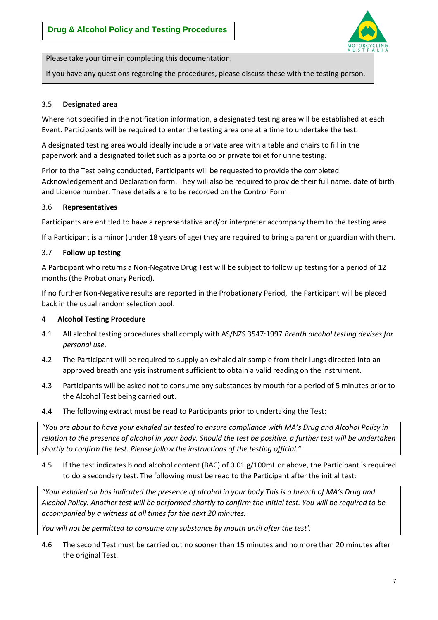

Please take your time in completing this documentation.

If you have any questions regarding the procedures, please discuss these with the testing person.

## 3.5 **Designated area**

Where not specified in the notification information, a designated testing area will be established at each Event. Participants will be required to enter the testing area one at a time to undertake the test.

A designated testing area would ideally include a private area with a table and chairs to fill in the paperwork and a designated toilet such as a portaloo or private toilet for urine testing.

Prior to the Test being conducted, Participants will be requested to provide the completed Acknowledgement and Declaration form. They will also be required to provide their full name, date of birth and Licence number. These details are to be recorded on the Control Form.

## 3.6 **Representatives**

Participants are entitled to have a representative and/or interpreter accompany them to the testing area.

If a Participant is a minor (under 18 years of age) they are required to bring a parent or guardian with them.

## 3.7 **Follow up testing**

A Participant who returns a Non-Negative Drug Test will be subject to follow up testing for a period of 12 months (the Probationary Period).

If no further Non-Negative results are reported in the Probationary Period, the Participant will be placed back in the usual random selection pool.

#### **4 Alcohol Testing Procedure**

- 4.1 All alcohol testing procedures shall comply with AS/NZS 3547:1997 *Breath alcohol testing devises for personal use*.
- 4.2 The Participant will be required to supply an exhaled air sample from their lungs directed into an approved breath analysis instrument sufficient to obtain a valid reading on the instrument.
- 4.3 Participants will be asked not to consume any substances by mouth for a period of 5 minutes prior to the Alcohol Test being carried out.
- 4.4 The following extract must be read to Participants prior to undertaking the Test:

*"You are about to have your exhaled air tested to ensure compliance with MA's Drug and Alcohol Policy in relation to the presence of alcohol in your body. Should the test be positive, a further test will be undertaken shortly to confirm the test. Please follow the instructions of the testing official."*

4.5 If the test indicates blood alcohol content (BAC) of 0.01 g/100mL or above, the Participant is required to do a secondary test. The following must be read to the Participant after the initial test:

*"Your exhaled air has indicated the presence of alcohol in your body This is a breach of MA's Drug and Alcohol Policy. Another test will be performed shortly to confirm the initial test. You will be required to be accompanied by a witness at all times for the next 20 minutes.*

*You will not be permitted to consume any substance by mouth until after the test'.*

4.6 The second Test must be carried out no sooner than 15 minutes and no more than 20 minutes after the original Test.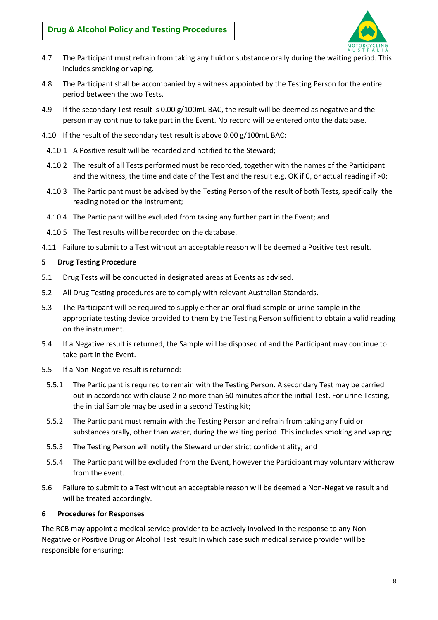

- 4.7 The Participant must refrain from taking any fluid or substance orally during the waiting period. This includes smoking or vaping.
- 4.8 The Participant shall be accompanied by a witness appointed by the Testing Person for the entire period between the two Tests.
- 4.9 If the secondary Test result is 0.00 g/100mL BAC, the result will be deemed as negative and the person may continue to take part in the Event. No record will be entered onto the database.
- 4.10 If the result of the secondary test result is above 0.00 g/100mL BAC:
	- 4.10.1 A Positive result will be recorded and notified to the Steward;
	- 4.10.2 The result of all Tests performed must be recorded, together with the names of the Participant and the witness, the time and date of the Test and the result e.g. OK if 0, or actual reading if >0;
	- 4.10.3 The Participant must be advised by the Testing Person of the result of both Tests, specifically the reading noted on the instrument;
	- 4.10.4 The Participant will be excluded from taking any further part in the Event; and
	- 4.10.5 The Test results will be recorded on the database.
- 4.11 Failure to submit to a Test without an acceptable reason will be deemed a Positive test result.

## **5 Drug Testing Procedure**

- 5.1 Drug Tests will be conducted in designated areas at Events as advised.
- 5.2 All Drug Testing procedures are to comply with relevant Australian Standards.
- 5.3 The Participant will be required to supply either an oral fluid sample or urine sample in the appropriate testing device provided to them by the Testing Person sufficient to obtain a valid reading on the instrument.
- 5.4 If a Negative result is returned, the Sample will be disposed of and the Participant may continue to take part in the Event.
- 5.5 If a Non-Negative result is returned:
	- 5.5.1 The Participant is required to remain with the Testing Person. A secondary Test may be carried out in accordance with clause [2](#page-3-0) no more than 60 minutes after the initial Test. For urine Testing, the initial Sample may be used in a second Testing kit;
	- 5.5.2 The Participant must remain with the Testing Person and refrain from taking any fluid or substances orally, other than water, during the waiting period. This includes smoking and vaping;
	- 5.5.3 The Testing Person will notify the Steward under strict confidentiality; and
	- 5.5.4 The Participant will be excluded from the Event, however the Participant may voluntary withdraw from the event.
- 5.6 Failure to submit to a Test without an acceptable reason will be deemed a Non-Negative result and will be treated accordingly.

#### **6 Procedures for Responses**

The RCB may appoint a medical service provider to be actively involved in the response to any Non-Negative or Positive Drug or Alcohol Test result In which case such medical service provider will be responsible for ensuring: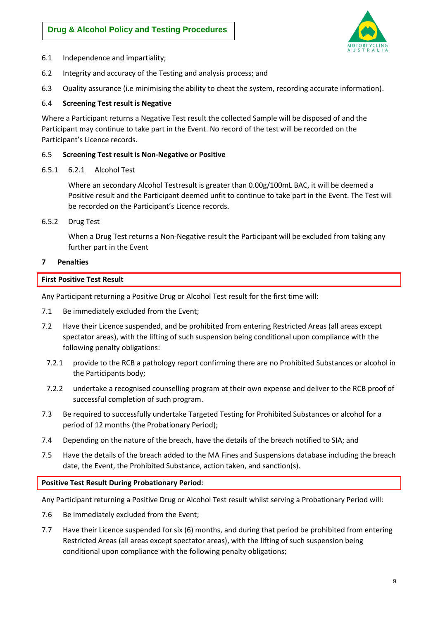

- 6.1 Independence and impartiality;
- 6.2 Integrity and accuracy of the Testing and analysis process; and
- 6.3 Quality assurance (i.e minimising the ability to cheat the system, recording accurate information).

#### 6.4 **Screening Test result is Negative**

Where a Participant returns a Negative Test result the collected Sample will be disposed of and the Participant may continue to take part in the Event. No record of the test will be recorded on the Participant's Licence records.

#### 6.5 **Screening Test result is Non-Negative or Positive**

6.5.1 6.2.1 Alcohol Test

Where an secondary Alcohol Testresult is greater than 0.00g/100mL BAC, it will be deemed a Positive result and the Participant deemed unfit to continue to take part in the Event. The Test will be recorded on the Participant's Licence records.

6.5.2 Drug Test

When a Drug Test returns a Non-Negative result the Participant will be excluded from taking any further part in the Event

#### <span id="page-8-0"></span>**7 Penalties**

#### **First Positive Test Result**

Any Participant returning a Positive Drug or Alcohol Test result for the first time will:

- 7.1 Be immediately excluded from the Event;
- 7.2 Have their Licence suspended, and be prohibited from entering Restricted Areas (all areas except spectator areas), with the lifting of such suspension being conditional upon compliance with the following penalty obligations:
	- 7.2.1 provide to the RCB a pathology report confirming there are no Prohibited Substances or alcohol in the Participants body;
	- 7.2.2 undertake a recognised counselling program at their own expense and deliver to the RCB proof of successful completion of such program.
- 7.3 Be required to successfully undertake Targeted Testing for Prohibited Substances or alcohol for a period of 12 months (the Probationary Period);
- 7.4 Depending on the nature of the breach, have the details of the breach notified to SIA; and
- 7.5 Have the details of the breach added to the MA Fines and Suspensions database including the breach date, the Event, the Prohibited Substance, action taken, and sanction(s).

#### **Positive Test Result During Probationary Period**:

Any Participant returning a Positive Drug or Alcohol Test result whilst serving a Probationary Period will:

- 7.6 Be immediately excluded from the Event;
- 7.7 Have their Licence suspended for six (6) months, and during that period be prohibited from entering Restricted Areas (all areas except spectator areas), with the lifting of such suspension being conditional upon compliance with the following penalty obligations;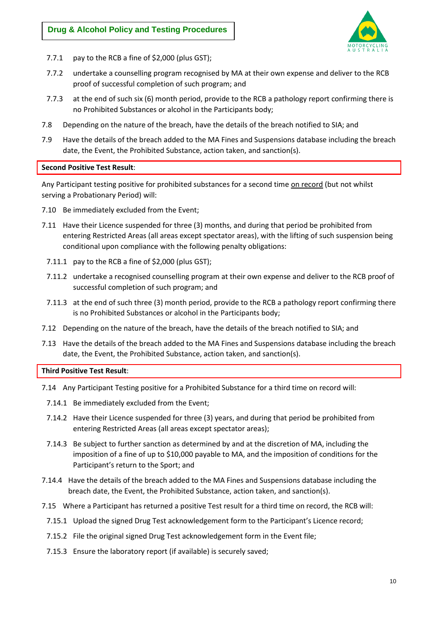

- 7.7.1 pay to the RCB a fine of \$2,000 (plus GST);
- 7.7.2 undertake a counselling program recognised by MA at their own expense and deliver to the RCB proof of successful completion of such program; and
- 7.7.3 at the end of such six (6) month period, provide to the RCB a pathology report confirming there is no Prohibited Substances or alcohol in the Participants body;
- 7.8 Depending on the nature of the breach, have the details of the breach notified to SIA; and
- 7.9 Have the details of the breach added to the MA Fines and Suspensions database including the breach date, the Event, the Prohibited Substance, action taken, and sanction(s).

#### **Second Positive Test Result**:

Any Participant testing positive for prohibited substances for a second time on record (but not whilst serving a Probationary Period) will:

- 7.10 Be immediately excluded from the Event;
- 7.11 Have their Licence suspended for three (3) months, and during that period be prohibited from entering Restricted Areas (all areas except spectator areas), with the lifting of such suspension being conditional upon compliance with the following penalty obligations:
	- 7.11.1 pay to the RCB a fine of \$2,000 (plus GST);
	- 7.11.2 undertake a recognised counselling program at their own expense and deliver to the RCB proof of successful completion of such program; and
	- 7.11.3 at the end of such three (3) month period, provide to the RCB a pathology report confirming there is no Prohibited Substances or alcohol in the Participants body;
- 7.12 Depending on the nature of the breach, have the details of the breach notified to SIA; and
- 7.13 Have the details of the breach added to the MA Fines and Suspensions database including the breach date, the Event, the Prohibited Substance, action taken, and sanction(s).

#### **Third Positive Test Result**:

- 7.14 Any Participant Testing positive for a Prohibited Substance for a third time on record will:
- 7.14.1 Be immediately excluded from the Event;
- 7.14.2 Have their Licence suspended for three (3) years, and during that period be prohibited from entering Restricted Areas (all areas except spectator areas);
- 7.14.3 Be subject to further sanction as determined by and at the discretion of MA, including the imposition of a fine of up to \$10,000 payable to MA, and the imposition of conditions for the Participant's return to the Sport; and
- 7.14.4 Have the details of the breach added to the MA Fines and Suspensions database including the breach date, the Event, the Prohibited Substance, action taken, and sanction(s).
- 7.15 Where a Participant has returned a positive Test result for a third time on record, the RCB will:
	- 7.15.1 Upload the signed Drug Test acknowledgement form to the Participant's Licence record;
	- 7.15.2 File the original signed Drug Test acknowledgement form in the Event file;
	- 7.15.3 Ensure the laboratory report (if available) is securely saved;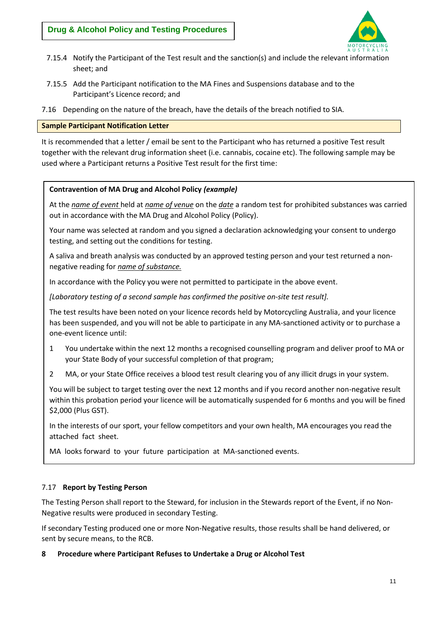

- 7.15.4 Notify the Participant of the Test result and the sanction(s) and include the relevant information sheet; and
- 7.15.5 Add the Participant notification to the MA Fines and Suspensions database and to the Participant's Licence record; and
- 7.16 Depending on the nature of the breach, have the details of the breach notified to SIA.

## **Sample Participant Notification Letter**

It is recommended that a letter / email be sent to the Participant who has returned a positive Test result together with the relevant drug information sheet (i.e. cannabis, cocaine etc). The following sample may be used where a Participant returns a Positive Test result for the first time:

## **Contravention of MA Drug and Alcohol Policy** *(example)*

At the *name of event* held at *name of venue* on the *date* a random test for prohibited substances was carried out in accordance with the MA Drug and Alcohol Policy (Policy).

Your name was selected at random and you signed a declaration acknowledging your consent to undergo testing, and setting out the conditions for testing.

A saliva and breath analysis was conducted by an approved testing person and your test returned a nonnegative reading for *name of substance.*

In accordance with the Policy you were not permitted to participate in the above event.

*[Laboratory testing of a second sample has confirmed the positive on-site test result].*

The test results have been noted on your licence records held by Motorcycling Australia, and your licence has been suspended, and you will not be able to participate in any MA-sanctioned activity or to purchase a one-event licence until:

- 1 You undertake within the next 12 months a recognised counselling program and deliver proof to MA or your State Body of your successful completion of that program;
- 2 MA, or your State Office receives a blood test result clearing you of any illicit drugs in your system.

You will be subject to target testing over the next 12 months and if you record another non-negative result within this probation period your licence will be automatically suspended for 6 months and you will be fined \$2,000 (Plus GST).

In the interests of our sport, your fellow competitors and your own health, MA encourages you read the attached fact sheet.

MA looks forward to your future participation at MA-sanctioned events.

# 7.17 **Report by Testing Person**

The Testing Person shall report to the Steward, for inclusion in the Stewards report of the Event, if no Non-Negative results were produced in secondary Testing.

If secondary Testing produced one or more Non-Negative results, those results shall be hand delivered, or sent by secure means, to the RCB.

#### **8 Procedure where Participant Refuses to Undertake a Drug or Alcohol Test**